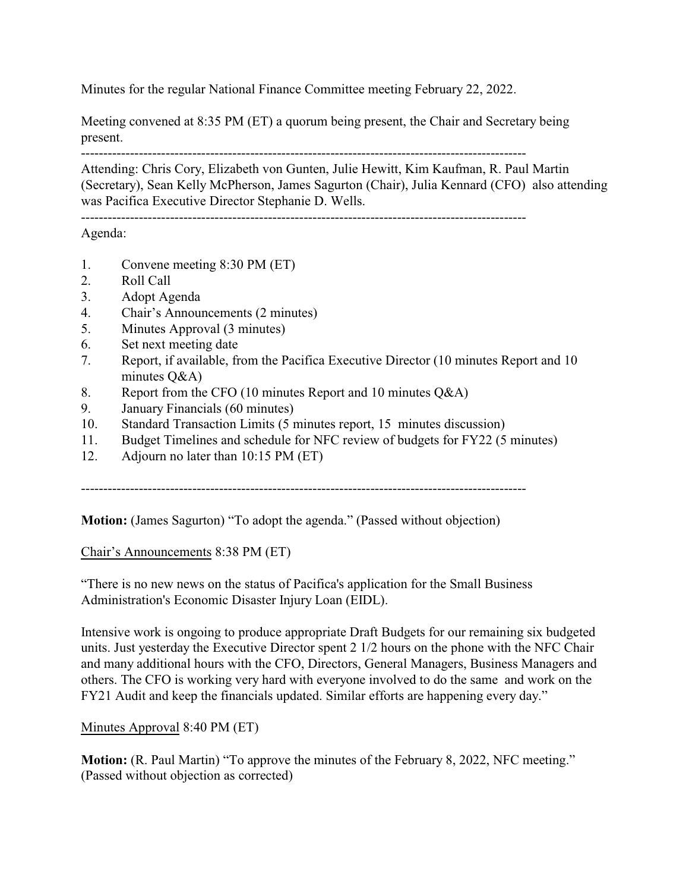Minutes for the regular National Finance Committee meeting February 22, 2022.

Meeting convened at 8:35 PM (ET) a quorum being present, the Chair and Secretary being present.

----------------------------------------------------------------------------------------------------

Attending: Chris Cory, Elizabeth von Gunten, Julie Hewitt, Kim Kaufman, R. Paul Martin (Secretary), Sean Kelly McPherson, James Sagurton (Chair), Julia Kennard (CFO) also attending was Pacifica Executive Director Stephanie D. Wells.

----------------------------------------------------------------------------------------------------

Agenda:

- 1. Convene meeting 8:30 PM (ET)
- 2. Roll Call
- 3. Adopt Agenda
- 4. Chair's Announcements (2 minutes)
- 5. Minutes Approval (3 minutes)
- 6. Set next meeting date
- 7. Report, if available, from the Pacifica Executive Director (10 minutes Report and 10 minutes Q&A)
- 8. Report from the CFO (10 minutes Report and 10 minutes Q&A)
- 9. January Financials (60 minutes)
- 10. Standard Transaction Limits (5 minutes report, 15 minutes discussion)
- 11. Budget Timelines and schedule for NFC review of budgets for FY22 (5 minutes)
- 12. Adjourn no later than 10:15 PM (ET)

----------------------------------------------------------------------------------------------------

**Motion:** (James Sagurton) "To adopt the agenda." (Passed without objection)

Chair's Announcements 8:38 PM (ET)

"There is no new news on the status of Pacifica's application for the Small Business Administration's Economic Disaster Injury Loan (EIDL).

Intensive work is ongoing to produce appropriate Draft Budgets for our remaining six budgeted units. Just yesterday the Executive Director spent 2 1/2 hours on the phone with the NFC Chair and many additional hours with the CFO, Directors, General Managers, Business Managers and others. The CFO is working very hard with everyone involved to do the same and work on the FY21 Audit and keep the financials updated. Similar efforts are happening every day."

Minutes Approval 8:40 PM (ET)

**Motion:** (R. Paul Martin) "To approve the minutes of the February 8, 2022, NFC meeting." (Passed without objection as corrected)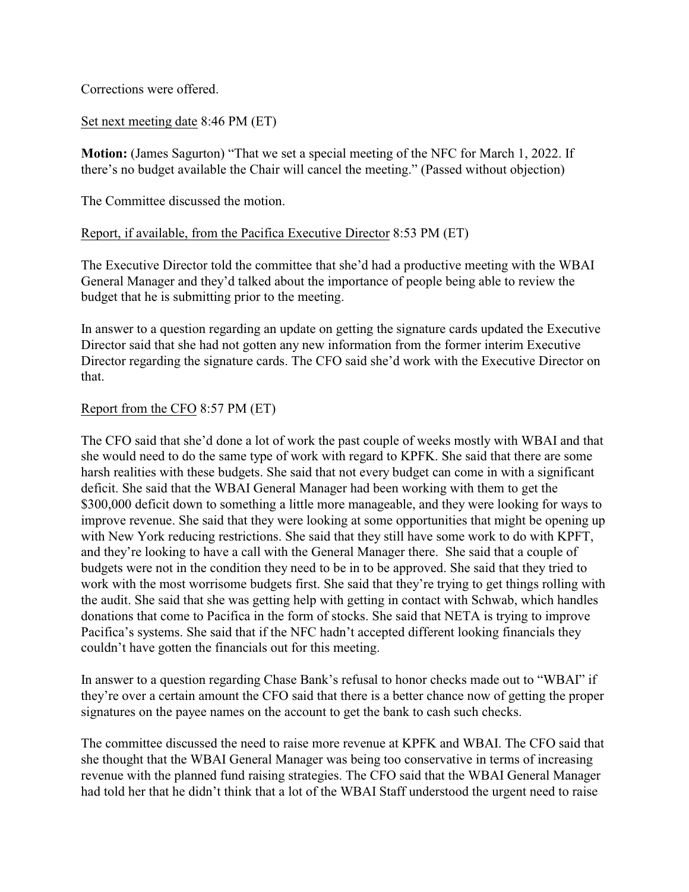Corrections were offered.

## Set next meeting date 8:46 PM (ET)

**Motion:** (James Sagurton) "That we set a special meeting of the NFC for March 1, 2022. If there's no budget available the Chair will cancel the meeting." (Passed without objection)

The Committee discussed the motion.

## Report, if available, from the Pacifica Executive Director 8:53 PM (ET)

The Executive Director told the committee that she'd had a productive meeting with the WBAI General Manager and they'd talked about the importance of people being able to review the budget that he is submitting prior to the meeting.

In answer to a question regarding an update on getting the signature cards updated the Executive Director said that she had not gotten any new information from the former interim Executive Director regarding the signature cards. The CFO said she'd work with the Executive Director on that.

## Report from the CFO 8:57 PM (ET)

The CFO said that she'd done a lot of work the past couple of weeks mostly with WBAI and that she would need to do the same type of work with regard to KPFK. She said that there are some harsh realities with these budgets. She said that not every budget can come in with a significant deficit. She said that the WBAI General Manager had been working with them to get the \$300,000 deficit down to something a little more manageable, and they were looking for ways to improve revenue. She said that they were looking at some opportunities that might be opening up with New York reducing restrictions. She said that they still have some work to do with KPFT, and they're looking to have a call with the General Manager there. She said that a couple of budgets were not in the condition they need to be in to be approved. She said that they tried to work with the most worrisome budgets first. She said that they're trying to get things rolling with the audit. She said that she was getting help with getting in contact with Schwab, which handles donations that come to Pacifica in the form of stocks. She said that NETA is trying to improve Pacifica's systems. She said that if the NFC hadn't accepted different looking financials they couldn't have gotten the financials out for this meeting.

In answer to a question regarding Chase Bank's refusal to honor checks made out to "WBAI" if they're over a certain amount the CFO said that there is a better chance now of getting the proper signatures on the payee names on the account to get the bank to cash such checks.

The committee discussed the need to raise more revenue at KPFK and WBAI. The CFO said that she thought that the WBAI General Manager was being too conservative in terms of increasing revenue with the planned fund raising strategies. The CFO said that the WBAI General Manager had told her that he didn't think that a lot of the WBAI Staff understood the urgent need to raise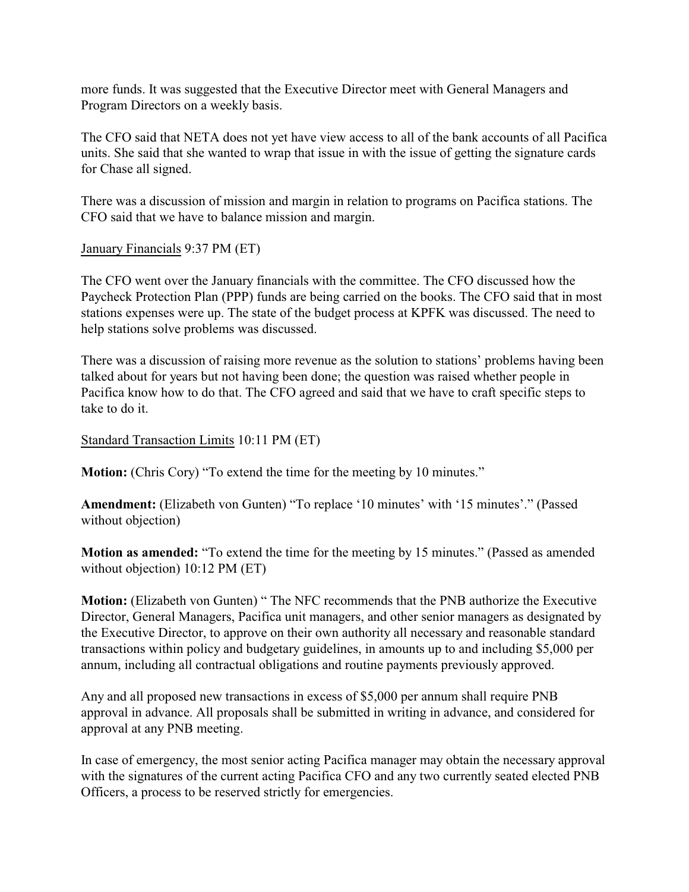more funds. It was suggested that the Executive Director meet with General Managers and Program Directors on a weekly basis.

The CFO said that NETA does not yet have view access to all of the bank accounts of all Pacifica units. She said that she wanted to wrap that issue in with the issue of getting the signature cards for Chase all signed.

There was a discussion of mission and margin in relation to programs on Pacifica stations. The CFO said that we have to balance mission and margin.

January Financials 9:37 PM (ET)

The CFO went over the January financials with the committee. The CFO discussed how the Paycheck Protection Plan (PPP) funds are being carried on the books. The CFO said that in most stations expenses were up. The state of the budget process at KPFK was discussed. The need to help stations solve problems was discussed.

There was a discussion of raising more revenue as the solution to stations' problems having been talked about for years but not having been done; the question was raised whether people in Pacifica know how to do that. The CFO agreed and said that we have to craft specific steps to take to do it.

Standard Transaction Limits 10:11 PM (ET)

**Motion:** (Chris Cory) "To extend the time for the meeting by 10 minutes."

**Amendment:** (Elizabeth von Gunten) "To replace '10 minutes' with '15 minutes'." (Passed without objection)

**Motion as amended:** "To extend the time for the meeting by 15 minutes." (Passed as amended without objection) 10:12 PM (ET)

**Motion:** (Elizabeth von Gunten) " The NFC recommends that the PNB authorize the Executive Director, General Managers, Pacifica unit managers, and other senior managers as designated by the Executive Director, to approve on their own authority all necessary and reasonable standard transactions within policy and budgetary guidelines, in amounts up to and including \$5,000 per annum, including all contractual obligations and routine payments previously approved.

Any and all proposed new transactions in excess of \$5,000 per annum shall require PNB approval in advance. All proposals shall be submitted in writing in advance, and considered for approval at any PNB meeting.

In case of emergency, the most senior acting Pacifica manager may obtain the necessary approval with the signatures of the current acting Pacifica CFO and any two currently seated elected PNB Officers, a process to be reserved strictly for emergencies.